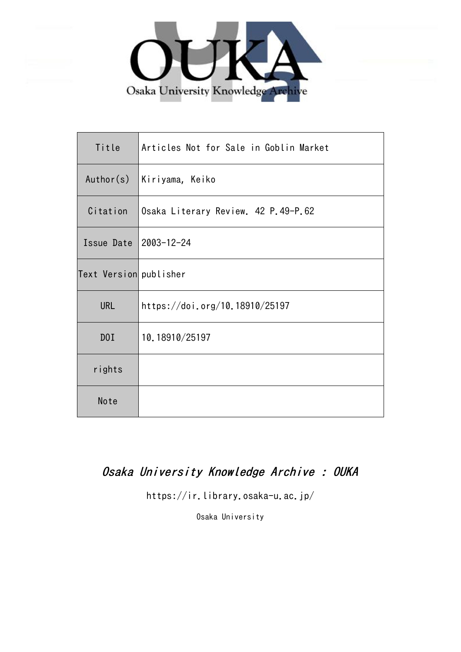

| Title                  | Articles Not for Sale in Goblin Market |
|------------------------|----------------------------------------|
| Author(s)              | Kiriyama, Keiko                        |
| Citation               | Osaka Literary Review. 42 P.49-P.62    |
| Issue Date             | 2003-12-24                             |
| Text Version publisher |                                        |
| <b>URL</b>             | https://doi.org/10.18910/25197         |
| D0I                    | 10.18910/25197                         |
| rights                 |                                        |
| Note                   |                                        |

# Osaka University Knowledge Archive : OUKA

https://ir.library.osaka-u.ac.jp/

Osaka University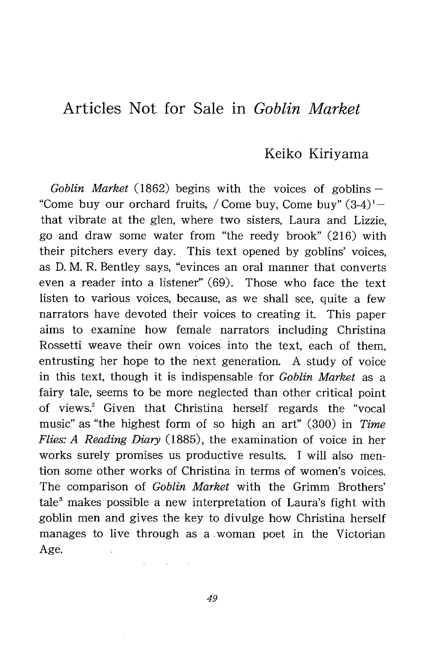## Articles Not. for Sale in Goblin Market

### Keiko Kiriyama

Goblin Market (1862) begins with the voices of goblins  $-$ "Come buy our orchard fruits, / Come buy, Come buy"  $(3-4)$ ' that vibrate at the glen, where two sisters, Laura and Lizzie, go and draw some water from "the reedy brook" (216) with their pitchers every day. This text opened by goblins' voices, as D. M. R. Bentley says, "evinces an oral manner that converts even a reader into a listener" (69). Those who face the text listen to various voices, because, as we shall see, quite a few narrators have devoted their voices to creating it. This paper aims to examine how female narrators including Christina Rossetti weave their own voices into the text, each of them, entrusting her hope to the next generation. A study of voice in this text, though it is indispensable for Goblin Market as a fairy tale, seems to be more neglected than other critical point of views.' Given that Christina herself regards the "vocal music" as "the highest form of so high an art" (300) in Time Flies: A Reading Diary (1885), the examination of voice in her works surely promises us productive results. I will also mention some other works of Christina in terms of women's voices. The comparison of Goblin Market with the Grimm Brothers'  $tale<sup>3</sup>$  makes possible a new interpretation of Laura's fight with goblin men and gives the key to divulge how Christina herself manages to live through as a woman poet in the Victorian Age.

49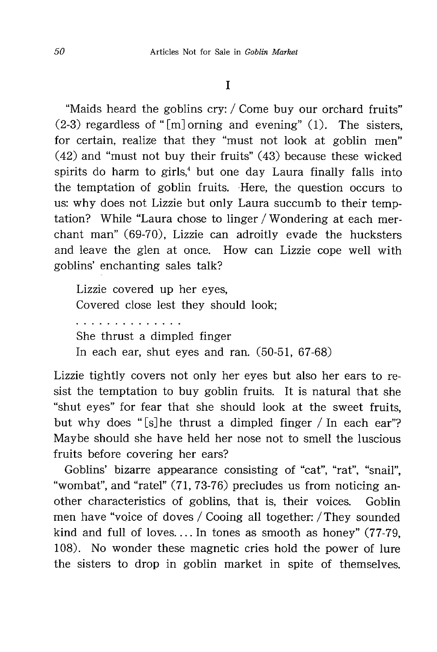"Maids heard the goblins cry: / Come buy our orchard fruits"  $(2-3)$  regardless of "[m] orning and evening" (1). The sisters, for certain, realize that they "must not look at goblin men" (42) and "must not buy their fruits" (43) because these wicked spirits do harm to girls,' but one day Laura finally falls into the temptation of goblin fruits. Here, the question occurs to us: why does not Lizzie but only Laura succumb to their temptation? While "Laura chose to linger / Wondering at each merchant man" (69-70), Lizzie can adroitly evade the hucksters and leave the glen at once. How can Lizzie cope well with goblins' enchanting sales talk?

Lizzie covered up her eyes, Covered close lest they should look; . . . . . . . . . . . . She thrust a dimpled finger In each ear, shut eyes and ran. (50-51, 67-68)

Lizzie tightly covers not only her eyes but also her ears to resist the temptation to buy goblin fruits. It is natural that she "shut eyes" for fear that she should look at the sweet fruits , but why does " $[s]$  he thrust a dimpled finger / In each ear"? Maybe should she have held her nose not to smell the luscious fruits before covering her ears?

Goblins' bizarre appearance consisting of "cat", "rat", "snail". "wombat" , and "ratel" (71, 73-76) precludes us from noticing another characteristics of goblins, that is, their voices. Goblin men have "voice of doves / Cooing all together: / They sounded kind and full of loves.... In tones as smooth as honey" (77-79, 108). No wonder these magnetic cries hold the power of lure the sisters to drop in goblin market in spite of themselves.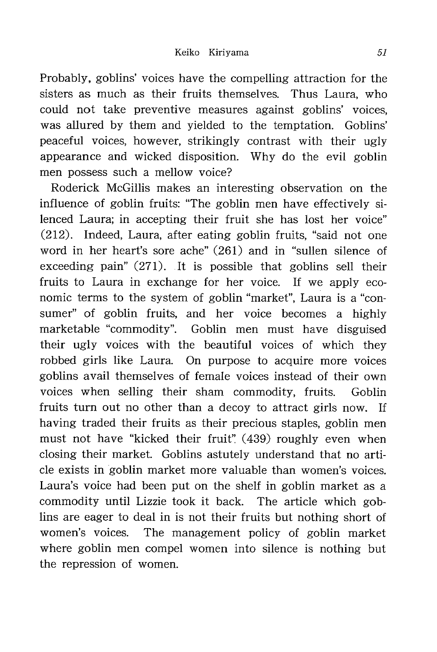Probably, goblins' voices have the compelling attraction for the sisters as much as their fruits themselves. Thus Laura, who could not take preventive measures against goblins' voices, was allured by them and yielded to the temptation. Goblins' peaceful voices, however, strikingly contrast with their ugly appearance and wicked disposition. Why do the evil goblin men possess such a mellow voice?

Roderick McGillis makes an interesting observation on the influence of goblin fruits: "The goblin men have effectively silenced Laura; in accepting their fruit she has lost her voice" (212). Indeed, Laura, after eating goblin fruits, "said not one word in her heart's sore ache" (261) and in "sullen silence of exceeding pain" (271). It is possible that goblins sell their fruits to Laura in exchange for her voice. If we apply economic terms to the system of goblin "market", Laura is a "consumer" of goblin fruits, and her voice becomes a highly marketable "commodity". Goblin men must have disguised their ugly voices with the beautiful voices of which they robbed girls like Laura. On purpose to acquire more voices goblins avail themselves of female voices instead of their own voices when selling their sham commodity, fruits. Goblin fruits turn out no other than a decoy to attract girls now. If having traded their fruits as their precious staples, goblin men must not have "kicked their fruit" (439) roughly even when closing their market. Goblins astutely understand that no article exists in goblin market more valuable than women's voices. Laura's voice had been put on the shelf in goblin market as a commodity until Lizzie took it back. The article which goblins are eager to deal in is not their fruits but nothing short of women's voices. The management policy of goblin market where goblin men compel women into silence is nothing but the repression of women.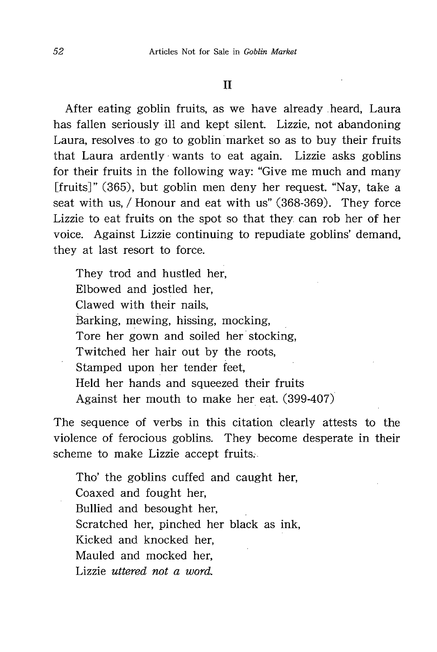After eating goblin fruits, as we have already heard, Laura has fallen seriously ill and kept silent. Lizzie, not abandoning Laura, resolves to go to goblin market so as to buy their fruits that Laura ardently- wants to eat again. Lizzie asks goblins for their fruits in the following way: "Give me much and many [fruits]" (365), but goblin men deny her request. "Nay, take a seat with us, / Honour and eat with us" (368-369). They force Lizzie to eat fruits on the spot so that they can rob her of her voice. Against Lizzie continuing to repudiate goblins' demand, they at last resort to force.

They trod and hustled her, Elbowed and jostled her, Clawed with their nails, Barking, mewing, hissing, mocking, Tore her gown and soiled her stocking, Twitched her hair out by the roots, Stamped upon her tender feet, Held her hands and squeezed their fruits Against her mouth to make her eat. (399-407)

The sequence of verbs in this citation clearly attests to the violence of ferocious goblins. They become desperate in their scheme to make Lizzie accept fruits..

Tho' the goblins cuffed and caught her, Coaxed and fought her, Bullied and besought her, Scratched her, pinched her black as ink, Kicked and knocked her, Mauled and mocked her, Lizzie uttered not a word.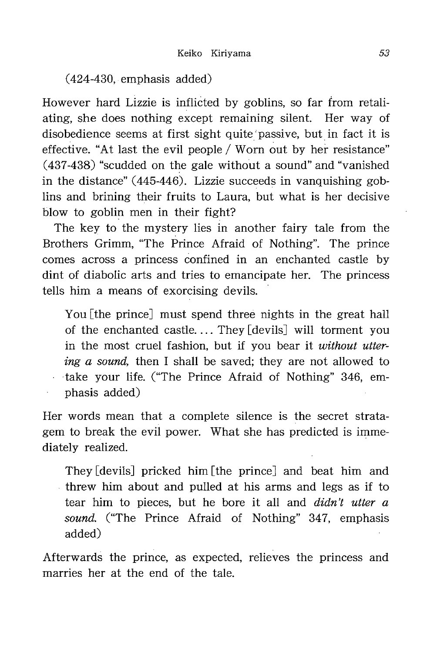(424-430, emphasis added)

However hard Lizzie is inflicted by goblins, so far from retaliating, she does nothing except remaining silent. Her way of disobedience seems at first sight quite passive, but in fact it is effective. "At last the evil people / Worn out by her resistance" (437-438) "scudded on the gale without a sound" and "vanished in the distance" (445-446). Lizzie succeeds in vanquishing goblins and brining their fruits to Laura, but what is her decisive blow to goblin men in their fight?

The key to the mystery lies in another fairy tale from the Brothers Grimm, "The Prince Afraid of Nothing". The prince comes across a princess confined in an enchanted castle by dint of diabolic arts and tries to emancipate her. The princess tells him a means of exorcising devils.

You [the prince] must spend three nights in the great hall of the enchanted castle. ... They [devils] will torment you in the most cruel fashion, but if you bear it without uttering a sound, then I shall be saved; they are not allowed to take your life. ("The Prince Afraid of Nothing" 346, emphasis added)

Her words mean that a complete silence is the secret stratagem to break the evil power. What she has predicted is immediately realized.

They [devils] pricked him [the prince] and beat him and threw him about and pulled at his arms and legs as if to tear him to pieces, but he bore it all and *didn't utter a* sound. ("The Prince Afraid of Nothing" 347, emphasis added)

Afterwards the prince, as expected, relieves the princess and marries her at the end of the tale.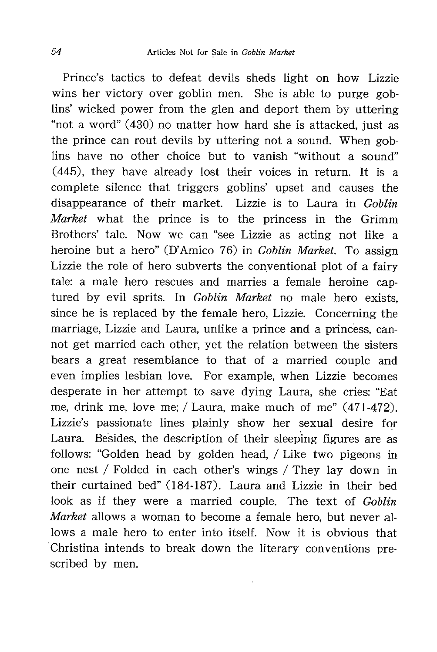Prince's tactics to defeat devils sheds light on how Lizzie wins her victory over goblin men. She is able to purge goblins' wicked power from the glen and deport them by uttering "not a word" (430) no matter how hard she is attacked , just as the prince can rout devils by uttering not a sound. When goblins have no other choice but to vanish "without a sound" (445), they have already lost their voices in return. It is a complete silence that triggers goblins' upset and causes the disappearance of their market. Lizzie is to Laura in Goblin Market what the prince is to the princess in the Grimm Brothers' tale. Now we can "see Lizzie as acting not like a heroine but a hero" (D'Amico 76) in Goblin Market. To assign Lizzie the role of hero subverts the conventional plot of a fairy tale: a male hero rescues and marries a female heroine captured by evil sprits. In *Goblin Market* no male hero exists, since he is replaced by the female hero, Lizzie. Concerning the marriage, Lizzie and Laura, unlike a prince and a princess, cannot get married each other, yet the relation between the sisters bears a great resemblance to that of a married couple and even implies lesbian love. For example, when Lizzie becomes desperate in her attempt to save dying Laura, she cries: "Eat me, drink me, love me; / Laura, make much of me" (471-472). Lizzie's passionate lines plainly show her sexual desire for Laura. Besides, the description of their sleeping figures are as follows: "Golden head by golden head, / Like two pigeons in one nest / Folded in each other's wings / They lay down in their curtained bed" (184-187). Laura and Lizzie in their bed look as if they were a married couple. The text of Goblin Market allows a woman to become a female hero, but never allows a male hero to enter into itself. Now it is obvious that Christina intends to break down the literary conventions prescribed by men.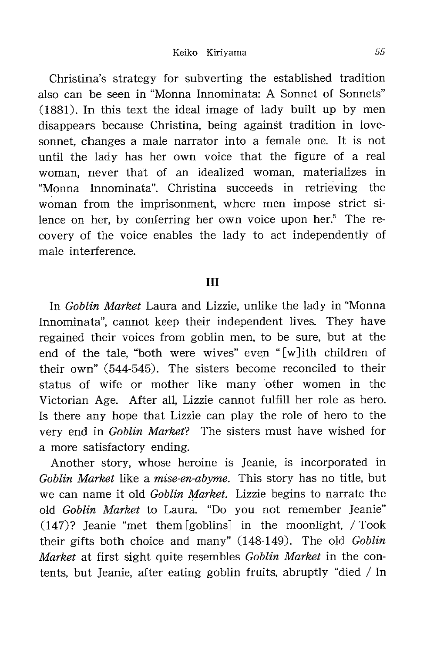Christina's strategy for subverting the established tradition also can be seen in "Monna Innominata: A Sonnet of Sonnets" (1881). In this text the ideal image of lady built up by men disappears because Christina, being against tradition in lovesonnet, changes a male narrator into a female one. It is not until the lady has her own voice that the figure of a real woman, never that of an idealized woman, materializes in "Monna Innominata" . Christina succeeds in retrieving the woman from the imprisonment, where men impose strict silence on her, by conferring her own voice upon her.<sup>5</sup> The recovery of the voice enables the lady to act independently of male interference.

#### III

In *Goblin Market* Laura and Lizzie, unlike the lady in "Monna" Innominata", cannot keep their independent lives. They have regained their voices from goblin men, to be sure, but at the end of the tale, "both were wives" even "[w] ith children of their own" (544-545). The sisters become reconciled to their status of wife or mother like many other women in the Victorian Age. After all, Lizzie cannot fulfill her role as hero. Is there any hope that Lizzie can play the role of hero to the very end in Goblin Market? The sisters must have wished for a more satisfactory ending.

Another story, whose heroine is Jeanie, is incorporated in Goblin Market like a mise-en-abyme. This story has no title, but we can name it old Goblin Market. Lizzie begins to narrate the old Goblin Market to Laura. "Do you not remember Jeanie" (147)? Jeanie "met them [goblins] in the moonlight, / Took their gifts both choice and many" (148-149). The old Goblin Market at first sight quite resembles Goblin Market in the contents, but Jeanie, after eating goblin fruits, abruptly "died / In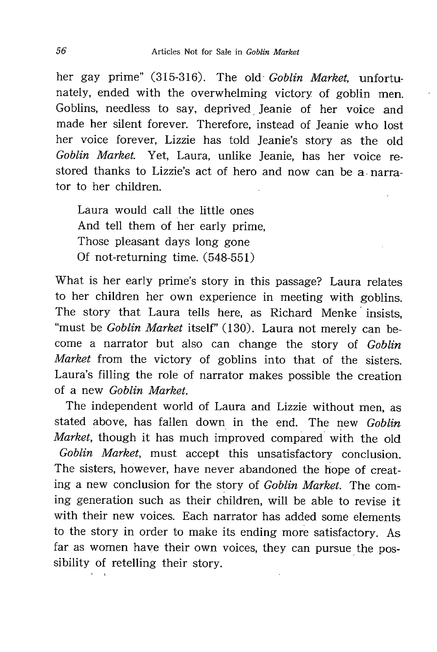her gay prime" (315-316). The old *Goblin Market*, unfortunately, ended with the overwhelming victory of goblin men. Goblins, needless to say, deprived Jeanie of her voice and made her silent forever. Therefore, instead of Jeanie who lost her voice forever, Lizzie has told Jeanie's story as the old Goblin Market. Yet, Laura, unlike Jeanie, has her voice restored thanks to Lizzie's act of hero and now can be a narrator to her children.

Laura would call the little ones And tell them of her early prime, Those pleasant days long gone Of not-returning time. (548-551)

What is her early prime's story in this passage? Laura relates to her children her own experience in meeting with goblins. The story that Laura tells here, as Richard Menke insists, "must be *Goblin Market* itself" (130). Laura not merely can become a narrator but also can change the story of Goblin Market from the victory of goblins into that of the sisters. Laura's filling the role of narrator makes possible the creation of a new Goblin Market.

The independent world of Laura and Lizzie without men, as stated above, has fallen down in the end. The new Goblin Market, though it has much improved compared with the old Goblin Market, must accept this unsatisfactory conclusion. The sisters, however, have never abandoned the hope of creating a new conclusion for the story of Goblin Market. The coming generation such as their children, will be able to revise it with their new voices. Each narrator has added some elements to the story in order to make its ending more satisfactory. As far as women have their own voices, they can pursue the possibility of retelling their story.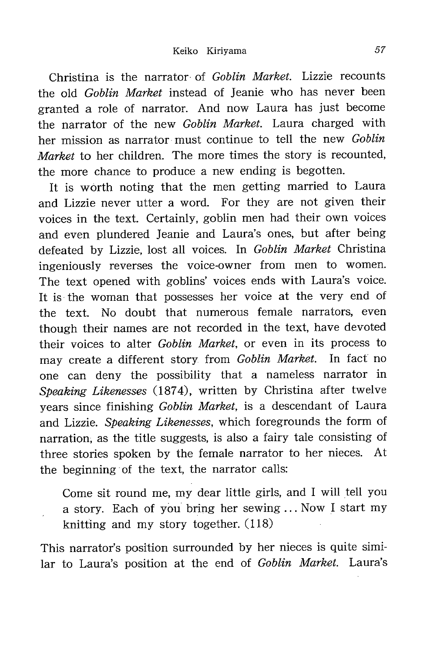Christina is the narrator of Goblin Market. Lizzie recounts the old *Goblin Market* instead of Jeanie who has never been granted a role of narrator. And now Laura has just become the narrator of the new Goblin Market. Laura charged with her mission as narrator must continue to tell the new Goblin Market to her children. The more times the story is recounted, the more chance to produce a new ending is begotten.

It is worth noting that the men getting married to Laura and Lizzie never utter a word. For they are not given their voices in the text. Certainly, goblin men had their own voices and even plundered Jeanie and Laura's ones, but after being defeated by Lizzie, lost all voices. In Goblin Market Christina ingeniously reverses the voice-owner from men to women. The text opened with goblins' voices ends with Laura's voice. It is the woman that possesses her voice at the very end of the text. No doubt that numerous female narrators, even though their names are not recorded in the text, have devoted their voices to alter Goblin Market, or even in its process to may create a different story from Goblin Market. In fact no one can deny the possibility that a nameless narrator in Speaking Likenesses (1874), written by Christina after twelve years since finishing Goblin Market, is a descendant of Laura and Lizzie. Speaking Likenesses, which foregrounds the form of narration, as the title suggests, is also a fairy tale consisting of three stories spoken by the female narrator to her nieces. At the beginning of the text, the narrator calls:

Come sit round me, my dear little girls, and I will tell you a story. Each of you bring her sewing ... Now I start my knitting and my story together. (118)

This narrator's position surrounded by her nieces is quite similar to Laura's position at the end of Goblin Market. Laura's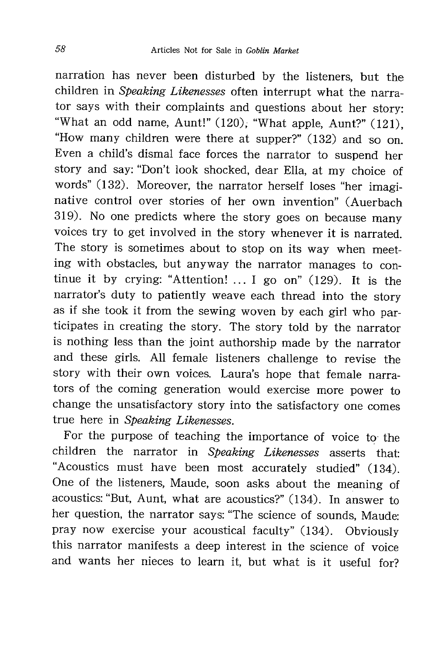narration has never been disturbed by the listeners , but the children in Speaking Likenesses often interrupt what the narrator says with their complaints and questions about her story: "What an odd name, Aunt!" (120), "What apple, Aunt?" (121) what an oud name, Aunt:  $(120)$ , "What apple, Aunt?" (121),<br>"How many children were there at sympax?" (199) and as "How many children were there at supper?"  $(132)$  and so on. Even a child's dismal face forces the narrator to suspend her story and say: "Don't look shocked, dear Ella, at my choice of words" (132). Moreover, the narrator herself loses "her imaginative control over stories of her own invention" (Auerbach 319). No one predicts where the story goes on because many voices try to get involved in the story whenever it is narrated. The story is sometimes about to stop on its way when meeting with obstacles, but anyway the narrator manages to continue it by crying: "Attention!  $\ldots$  I go on" (129). It is the narrator's duty to patiently weave each thread into the story as if she took it from the sewing woven by each girl who participates in creating the story. The story told by the narrator is nothing less than the joint authorship made by the narrator and these girls. All female listeners challenge to revise the story with their own voices. Laura's hope that female narrators of the coming generation would exercise more power to change the unsatisfactory story into the satisfactory one comes true here in Speaking Likenesses.

For the purpose of teaching the importance of voice to the children the narrator in Speaking Likenesses asserts that: "Acoustics must h ave been most accurately studied" (134). One of the listeners, Maude, soon asks about the meaning of acoustics: "But, Aunt, what are acoustics?" (134). In answer to her question, the narrator says: "The science of sounds , Maude: pray now exercise your acoustical faculty" (134). Obviously this narrator manifests a deep interest in the science of voice and wants her nieces to learn it, but what is it useful for?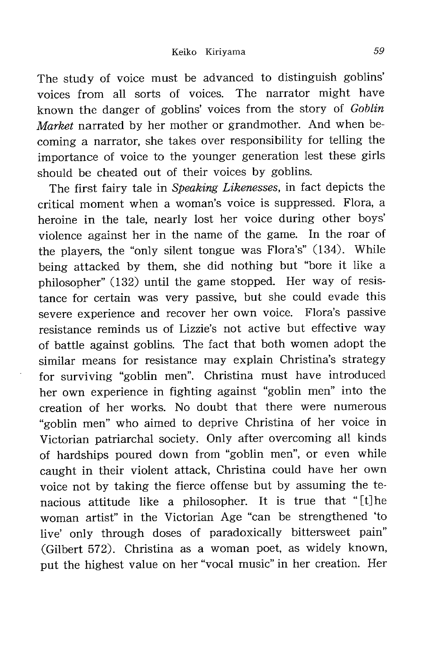The study of voice must be advanced to distinguish goblins' voices from all sorts of voices. The narrator might have known the danger of goblins' voices from the story of Goblin Market narrated by her mother or grandmother. And when becoming a narrator, she takes over responsibility for telling the importance of voice to the younger generation lest these girls should be cheated out of their voices by goblins.

The first fairy tale in Speaking Likenesses, in fact depicts the critical moment when a woman's voice is suppressed. Flora, a heroine in the tale, nearly lost her voice during other boys' violence against her in the name of the game. In the roar of the players, the "only silent tongue was Flora's" (134). While being attacked by them, she did nothing but "bore it like a philosopher" (132) until the game stopped. Her way of resistance for certain was very passive, but she could evade this severe experience and recover her own voice. Flora's passive resistance reminds us of Lizzie's not active but effective way of battle against goblins. The fact that both women adopt the similar means for resistance may explain Christina's strategy for surviving "goblin men". Christina must have introduced her own experience in fighting against "goblin men" into the creation of her works. No doubt that there were numerous "goblin men" who aimed to deprive Christina of her voice in Victorian patriarchal society. Only after overcoming all kinds of hardships poured down from "goblin men", or even while caught in their violent attack, Christina could have her own voice not by taking the fierce offense but by assuming the tenacious attitude like a philosopher. It is true that " [t] he woman artist" in the Victorian Age "can be strengthened 'to live' only through doses of paradoxically bittersweet pain" (Gilbert 572). Christina as a woman poet, as widely known, put the highest value on her "vocal music" in her creation. Her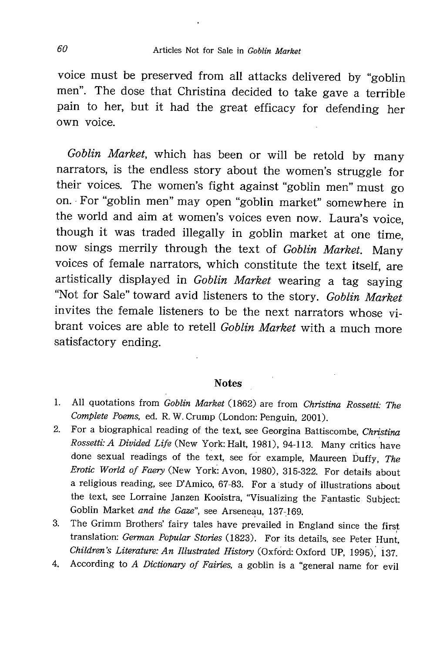voice must be preserved from all attacks delivered by "goblin men". The dose that Christina decided to take gave a terrible pain to her, but it had the great efficacy for defending her own voice.

Goblin Market, which has been or will be retold by many narrators, is the endless story about the women's struggle for their voices. The women's fight against "goblin men" must go on. For "goblin men" may open "goblin market" somewhere in the world and aim at women's voices even now. Laura's voice , though it was traded illegally in goblin market at one time , now sings merrily through the text of *Goblin Market*. Man voices of female narrators, which constitute the text itself , are artistically displayed in Goblin Market wearing a tag saying "Not for Sale" toward avid listeners to the story. Goblin Mark invites the female listeners to be the next narrators whose vibrant voices are able to retell Goblin Market with a much more satisfactory ending.

#### **Notes**

- 1. All quotations from Goblin Market (1862) are from Christina Rossetti: The Complete Poems, ed. R.W. Crump (London: Penguin, 2001).
- 2. For a biographical reading of the text, see Georgina Battiscombe, Christina Rossetti: A Divided Life (New York: Halt, 1981), 94-113. Many critics have done sexual readings of the text, see for example, Maureen Duffy, The Erotic World of Faery (New York: Avon, 1980), 315-322. For details about a religious reading, see D'Amico, 67-83. For a study of illustrations about the text, see Lorraine Janzen Kooistra, "Visualizing the Fantastic Subject: Goblin Market and the Gaze", see Arseneau, 137-169.
- 3. The Grimm Brothers' fairy tales have prevailed in England since the first translation: German Popular Stories (1823). For its details, see Peter Hunt Children's Literature: An Illustrated History (Oxford: Oxford UP, 1995), 137.
- 4. According to A Dictionary of Fairies, a goblin is a "general name for evil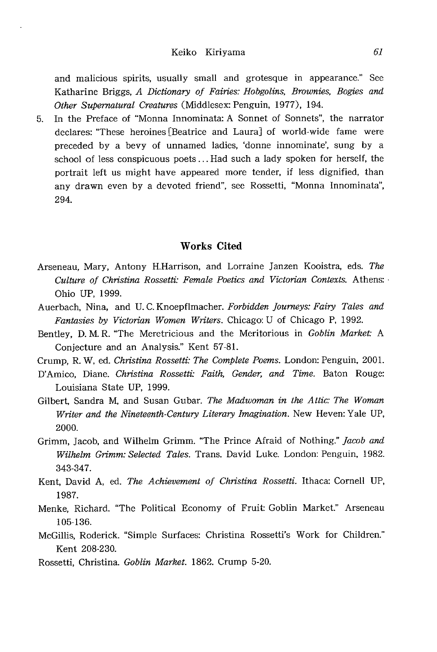and malicious spirits, usually small and grotesque in appearance." See Katharine Briggs, A Dictionary of Fairies: Hobgolins, Brownies, Bogies and Other Supernatural Creatures (Middlesex: Penguin, 1977), 194.

5. In the Preface of "Monna Innominata: A Sonnet of Sonnets", the narrator declares: "These heroines [Beatrice and Laura] of world-wide fame were preceded by a bevy of unnamed ladies, 'donne innominate', sung by a school of less conspicuous poets ... Had such a lady spoken for herself, the portrait left us might have appeared more tender, if less dignified, than any drawn even by a devoted friend", see Rossetti, "Monna Innominata", 294.

#### Works Cited

- Arseneau, Mary, Antony H.Harrison, and Lorraine Janzen Kooistra, eds. The Culture of Christina Rossetti: Female Poetics and Victorian Contexts. Athens: Ohio UP, 1999.
- Auerbach, Nina, and U.C. Knoepflmacher. Forbidden Journeys: Fairy Tales and Fantasies by Victorian Women Writers. Chicago: U of Chicago P, 1992.
- Bentley, D. M. R. "The Meretricious and the Meritorious in Goblin Market: A Conjecture and an Analysis." Kent 57-81.
- Crump, R. W, ed. Christina Rossetti: The Complete Poems. London: Penguin, 2001.
- D'Amico, Diane. Christina Rossetti: Faith, Gender, and Time. Baton Rouge: Louisiana State UP, 1999.
- Gilbert, Sandra M, and Susan Gubar. The Madwoman in the Attic: The Woman Writer and the Nineteenth-Century Literary Imagination. New Heven: Yale UP, 2000.
- Grimm, Jacob, and Wilhelm Grimm. "The Prince Afraid of Nothing." Jacob and Wilhelm Grimm: Selected Tales. Trans. David Luke. London: Penguin, 1982. 343-347.
- Kent, David A, ed. The Achievement of Christina Rossetti. Ithaca: Cornell UP, 1987.
- Menke, Richard. "The Political Economy of Fruit: Goblin Market." Arseneau 105-136.
- McGillis, Roderick. "Simple Surfaces: Christina Rossetti's Work for Children." Kent 208-230.
- Rossetti, Christina. Goblin Market. 1862. Crump 5-20.